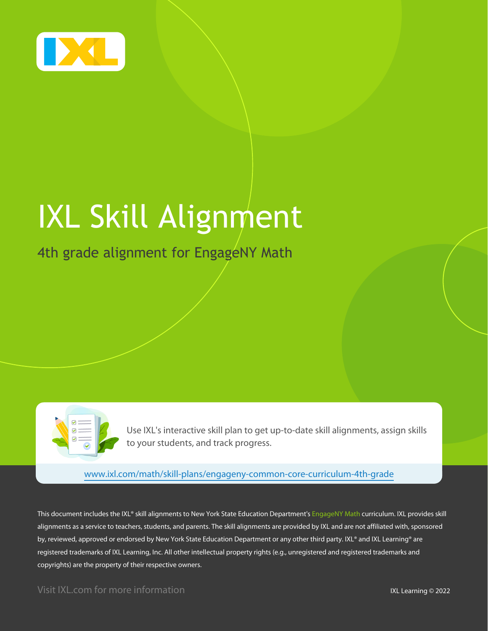

# IXL Skill Alignment

## 4th grade alignment for EngageNY Math

Use IXL's interactive skill plan to get up-to-date skill alignments, assign skills to your students, and track progress.

[www.ixl.com/math/skill-plans/engageny-common-core-curriculum-4th-grade](https://www.ixl.com/math/skill-plans/engageny-common-core-curriculum-4th-grade)

This document includes the IXL® skill alignments to New York State Education Department's EngageNY Math curriculum. IXL provides skill alignments as a service to teachers, students, and parents. The skill alignments are provided by IXL and are not affiliated with, sponsored by, reviewed, approved or endorsed by New York State Education Department or any other third party. IXL® and IXL Learning® are registered trademarks of IXL Learning, Inc. All other intellectual property rights (e.g., unregistered and registered trademarks and copyrights) are the property of their respective owners.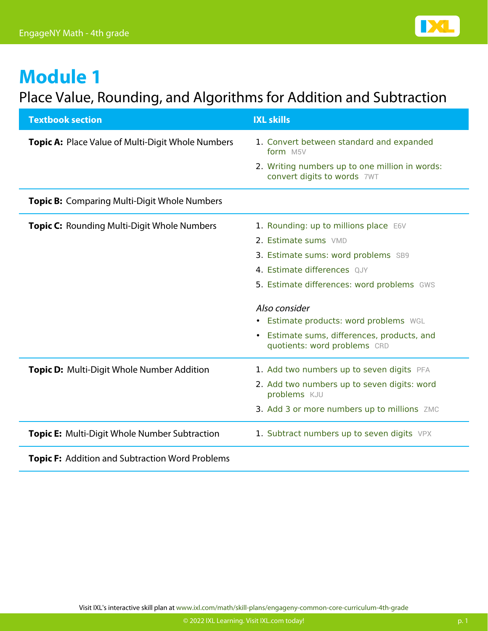

## Place Value, Rounding, and Algorithms for Addition and Subtraction

| <b>Textbook section</b>                                | <b>IXL skills</b>                                                                      |
|--------------------------------------------------------|----------------------------------------------------------------------------------------|
| Topic A: Place Value of Multi-Digit Whole Numbers      | 1. Convert between standard and expanded<br>form M5V                                   |
|                                                        | 2. Writing numbers up to one million in words:<br>convert digits to words 7WT          |
| <b>Topic B:</b> Comparing Multi-Digit Whole Numbers    |                                                                                        |
| <b>Topic C:</b> Rounding Multi-Digit Whole Numbers     | 1. Rounding: up to millions place E6V                                                  |
|                                                        | 2. Estimate sums VMD                                                                   |
|                                                        | 3. Estimate sums: word problems SB9                                                    |
|                                                        | 4. Estimate differences QJY                                                            |
|                                                        | 5. Estimate differences: word problems GWS                                             |
|                                                        | Also consider                                                                          |
|                                                        | • Estimate products: word problems WGL                                                 |
|                                                        | Estimate sums, differences, products, and<br>$\bullet$<br>quotients: word problems CRD |
| <b>Topic D:</b> Multi-Digit Whole Number Addition      | 1. Add two numbers up to seven digits PFA                                              |
|                                                        | 2. Add two numbers up to seven digits: word<br>problems KJU                            |
|                                                        | 3. Add 3 or more numbers up to millions ZMC                                            |
| Topic E: Multi-Digit Whole Number Subtraction          | 1. Subtract numbers up to seven digits VPX                                             |
| <b>Topic F:</b> Addition and Subtraction Word Problems |                                                                                        |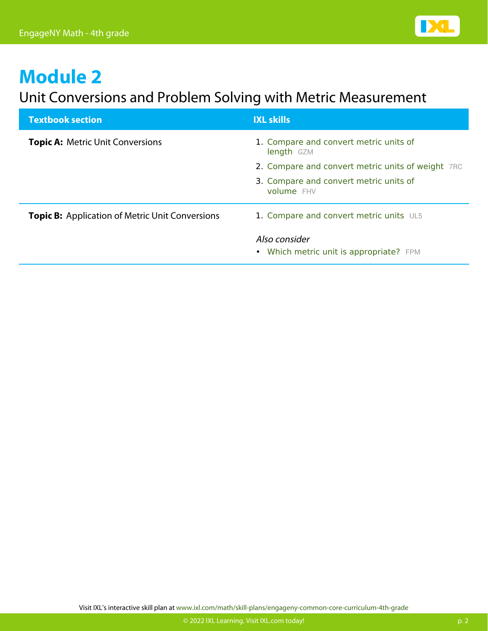

#### Unit Conversions and Problem Solving with Metric Measurement

| <b>Textbook section</b>                                | <b>IXL skills</b>                                           |
|--------------------------------------------------------|-------------------------------------------------------------|
| <b>Topic A: Metric Unit Conversions</b>                | 1. Compare and convert metric units of<br>length GZM        |
|                                                        | 2. Compare and convert metric units of weight 7RC           |
|                                                        | 3. Compare and convert metric units of<br><b>volume</b> FHV |
| <b>Topic B:</b> Application of Metric Unit Conversions | 1. Compare and convert metric units UL5                     |
|                                                        | Also consider<br>• Which metric unit is appropriate? FPM    |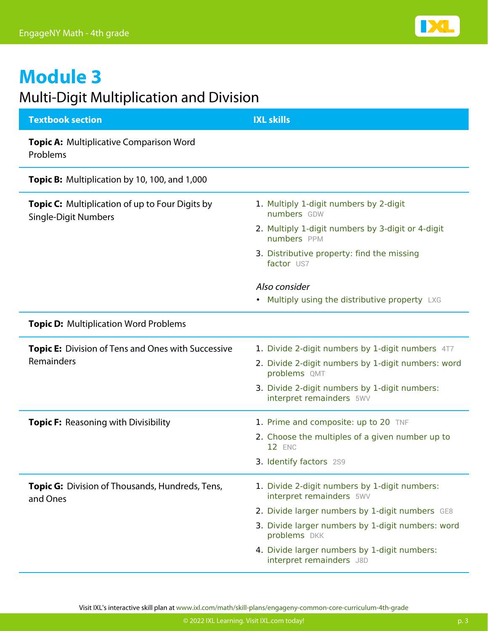

#### Multi-Digit Multiplication and Division

| <b>Textbook section</b>                                                               | <b>IXL skills</b>                                                         |
|---------------------------------------------------------------------------------------|---------------------------------------------------------------------------|
| <b>Topic A: Multiplicative Comparison Word</b><br>Problems                            |                                                                           |
| Topic B: Multiplication by 10, 100, and 1,000                                         |                                                                           |
| <b>Topic C:</b> Multiplication of up to Four Digits by<br><b>Single-Digit Numbers</b> | 1. Multiply 1-digit numbers by 2-digit<br>numbers GDW                     |
|                                                                                       | 2. Multiply 1-digit numbers by 3-digit or 4-digit<br>numbers PPM          |
|                                                                                       | 3. Distributive property: find the missing<br>factor US7                  |
|                                                                                       | Also consider                                                             |
|                                                                                       | Multiply using the distributive property LXG<br>$\bullet$                 |
| <b>Topic D:</b> Multiplication Word Problems                                          |                                                                           |
| Topic E: Division of Tens and Ones with Successive<br>Remainders                      | 1. Divide 2-digit numbers by 1-digit numbers 4T7                          |
|                                                                                       | 2. Divide 2-digit numbers by 1-digit numbers: word<br>problems QMT        |
|                                                                                       | 3. Divide 2-digit numbers by 1-digit numbers:<br>interpret remainders 5WV |
| Topic F: Reasoning with Divisibility                                                  | 1. Prime and composite: up to 20 TNF                                      |
|                                                                                       | 2. Choose the multiples of a given number up to<br><b>12 ENC</b>          |
|                                                                                       | <b>3. Identify factors</b> 2S9                                            |
| Topic G: Division of Thousands, Hundreds, Tens,<br>and Ones                           | 1. Divide 2-digit numbers by 1-digit numbers:<br>interpret remainders 5WV |
|                                                                                       | 2. Divide larger numbers by 1-digit numbers GE8                           |
|                                                                                       | 3. Divide larger numbers by 1-digit numbers: word<br>problems DKK         |
|                                                                                       | 4. Divide larger numbers by 1-digit numbers:<br>interpret remainders J8D  |

Visit IXL's interactive skill plan at [www.ixl.com/math/skill-plans/engageny-common-core-curriculum-4th-grade](https://www.ixl.com/math/skill-plans/engageny-common-core-curriculum-4th-grade)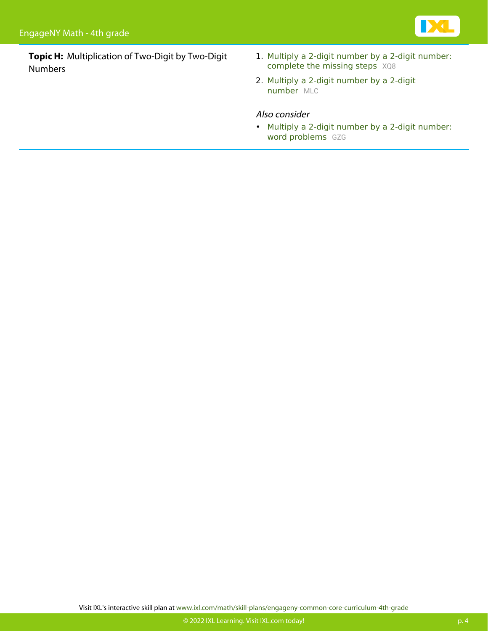

**Topic H:** Multiplication of Two-Digit by Two-Digit Numbers

- 1. [Multiply a 2-digit number by a 2-digit number:](https://www.ixl.com/math/grade-4/multiply-a-2-digit-number-by-a-2-digit-number-complete-the-missing-steps) [complete the missing steps](https://www.ixl.com/math/grade-4/multiply-a-2-digit-number-by-a-2-digit-number-complete-the-missing-steps) [XQ8](https://www.ixl.com/math/grade-4/multiply-a-2-digit-number-by-a-2-digit-number-complete-the-missing-steps)
- 2. [Multiply a 2-digit number by a 2-digit](https://www.ixl.com/math/grade-4/multiply-a-2-digit-number-by-a-2-digit-number) [number](https://www.ixl.com/math/grade-4/multiply-a-2-digit-number-by-a-2-digit-number) [MLC](https://www.ixl.com/math/grade-4/multiply-a-2-digit-number-by-a-2-digit-number)

#### Also consider

• [Multiply a 2-digit number by a 2-digit number:](https://www.ixl.com/math/grade-4/multiply-a-2-digit-number-by-a-2-digit-number-word-problems) [word problems](https://www.ixl.com/math/grade-4/multiply-a-2-digit-number-by-a-2-digit-number-word-problems) [GZG](https://www.ixl.com/math/grade-4/multiply-a-2-digit-number-by-a-2-digit-number-word-problems)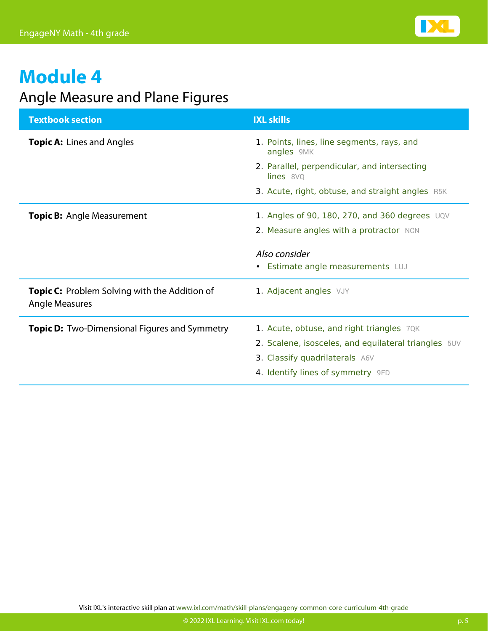

### Angle Measure and Plane Figures

| <b>Textbook section</b>                                                       | <b>IXL skills</b>                                                                                                                                                        |
|-------------------------------------------------------------------------------|--------------------------------------------------------------------------------------------------------------------------------------------------------------------------|
| <b>Topic A: Lines and Angles</b>                                              | 1. Points, lines, line segments, rays, and<br>angles 9MK                                                                                                                 |
|                                                                               | 2. Parallel, perpendicular, and intersecting<br>lines 8VQ                                                                                                                |
|                                                                               | 3. Acute, right, obtuse, and straight angles R5K                                                                                                                         |
| <b>Topic B:</b> Angle Measurement                                             | 1. Angles of 90, 180, 270, and 360 degrees UQV<br>2. Measure angles with a protractor NCN                                                                                |
|                                                                               | Also consider<br>• Estimate angle measurements LUJ                                                                                                                       |
| <b>Topic C:</b> Problem Solving with the Addition of<br><b>Angle Measures</b> | 1. Adjacent angles VJY                                                                                                                                                   |
| <b>Topic D:</b> Two-Dimensional Figures and Symmetry                          | 1. Acute, obtuse, and right triangles 70K<br>2. Scalene, isosceles, and equilateral triangles 5UV<br>3. Classify quadrilaterals A6V<br>4. Identify lines of symmetry 9FD |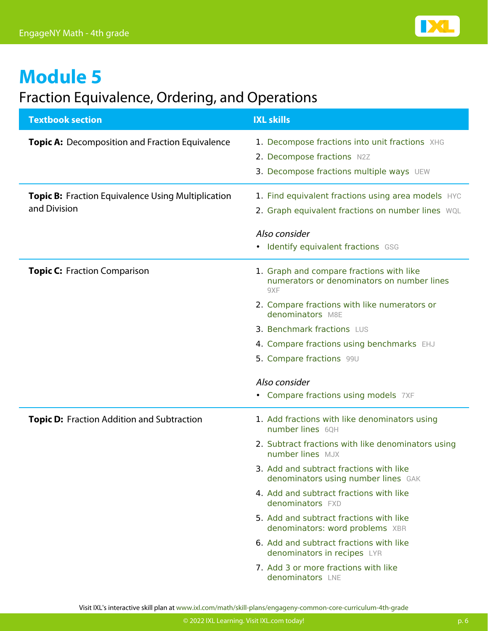

#### Fraction Equivalence, Ordering, and Operations

| <b>Textbook section</b>                                                   | <b>IXL skills</b>                                                                                                        |
|---------------------------------------------------------------------------|--------------------------------------------------------------------------------------------------------------------------|
| <b>Topic A:</b> Decomposition and Fraction Equivalence                    | 1. Decompose fractions into unit fractions XHG<br>2. Decompose fractions N2Z<br>3. Decompose fractions multiple ways UEW |
| <b>Topic B:</b> Fraction Equivalence Using Multiplication<br>and Division | 1. Find equivalent fractions using area models HYC<br>2. Graph equivalent fractions on number lines WQL                  |
|                                                                           | Also consider<br>Identify equivalent fractions GSG                                                                       |
| <b>Topic C: Fraction Comparison</b>                                       | 1. Graph and compare fractions with like<br>numerators or denominators on number lines<br>9XF                            |
|                                                                           | 2. Compare fractions with like numerators or<br>denominators M8E                                                         |
|                                                                           | 3. Benchmark fractions LUS                                                                                               |
|                                                                           | 4. Compare fractions using benchmarks EHJ                                                                                |
|                                                                           | 5. Compare fractions 99U                                                                                                 |
|                                                                           | Also consider                                                                                                            |
|                                                                           | • Compare fractions using models 7XF                                                                                     |
| <b>Topic D:</b> Fraction Addition and Subtraction                         | 1. Add fractions with like denominators using<br>number lines 60H                                                        |
|                                                                           | 2. Subtract fractions with like denominators using<br>number lines MJX                                                   |
|                                                                           | 3. Add and subtract fractions with like<br>denominators using number lines GAK                                           |
|                                                                           | 4. Add and subtract fractions with like<br>denominators FXD                                                              |
|                                                                           | 5. Add and subtract fractions with like<br>denominators: word problems XBR                                               |
|                                                                           | 6. Add and subtract fractions with like<br>denominators in recipes LYR                                                   |
|                                                                           | 7. Add 3 or more fractions with like<br>denominators LNE                                                                 |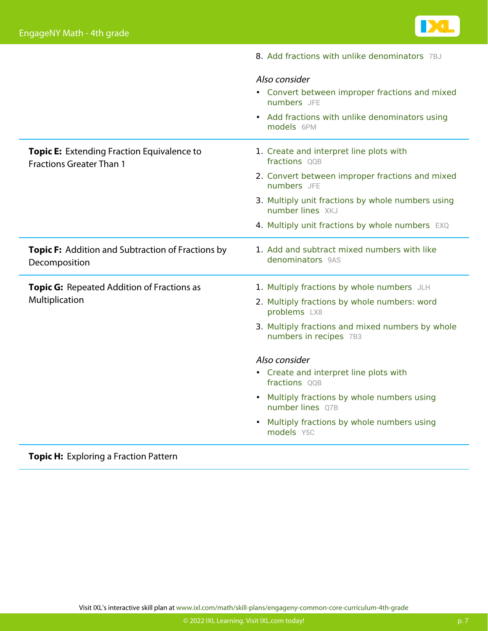

|                                                                                      | 8. Add fractions with unlike denominators 7BJ                              |
|--------------------------------------------------------------------------------------|----------------------------------------------------------------------------|
|                                                                                      | Also consider                                                              |
|                                                                                      | • Convert between improper fractions and mixed<br>numbers JFE              |
|                                                                                      | • Add fractions with unlike denominators using<br>models 6PM               |
| <b>Topic E:</b> Extending Fraction Equivalence to<br><b>Fractions Greater Than 1</b> | 1. Create and interpret line plots with<br>fractions QQB                   |
|                                                                                      | 2. Convert between improper fractions and mixed<br>numbers JFE             |
|                                                                                      | 3. Multiply unit fractions by whole numbers using<br>number lines XKJ      |
|                                                                                      | 4. Multiply unit fractions by whole numbers EXQ                            |
| Topic F: Addition and Subtraction of Fractions by<br>Decomposition                   | 1. Add and subtract mixed numbers with like<br>denominators 9AS            |
| <b>Topic G:</b> Repeated Addition of Fractions as                                    | 1. Multiply fractions by whole numbers JLH                                 |
| Multiplication                                                                       | 2. Multiply fractions by whole numbers: word<br>problems LX8               |
|                                                                                      | 3. Multiply fractions and mixed numbers by whole<br>numbers in recipes 7B3 |
|                                                                                      | Also consider                                                              |
|                                                                                      | • Create and interpret line plots with<br>fractions QQB                    |
|                                                                                      | Multiply fractions by whole numbers using<br>$\bullet$<br>number lines Q7B |
|                                                                                      | Multiply fractions by whole numbers using<br>models Y5C                    |

#### **Topic H:** Exploring a Fraction Pattern

Visit IXL's interactive skill plan at [www.ixl.com/math/skill-plans/engageny-common-core-curriculum-4th-grade](https://www.ixl.com/math/skill-plans/engageny-common-core-curriculum-4th-grade)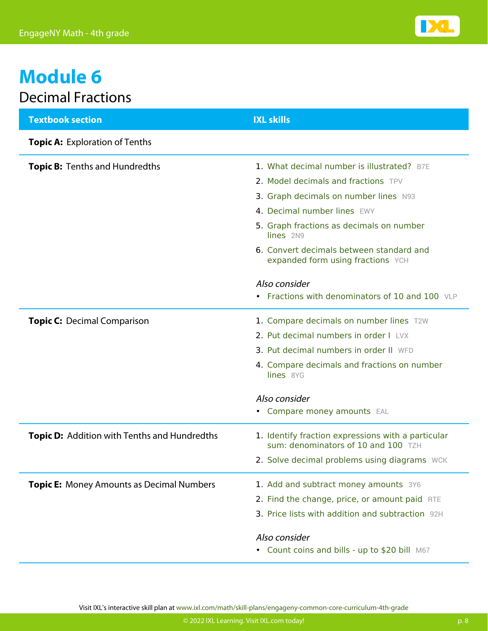

# **Module 6** Decimal Fractions

| <b>Textbook section</b>                             | <b>IXL skills</b>                                                                         |
|-----------------------------------------------------|-------------------------------------------------------------------------------------------|
| <b>Topic A: Exploration of Tenths</b>               |                                                                                           |
| <b>Topic B: Tenths and Hundredths</b>               | 1. What decimal number is illustrated? B7E                                                |
|                                                     | 2. Model decimals and fractions TPV                                                       |
|                                                     | 3. Graph decimals on number lines N93                                                     |
|                                                     | 4. Decimal number lines EWY                                                               |
|                                                     | 5. Graph fractions as decimals on number<br>lines 2N9                                     |
|                                                     | 6. Convert decimals between standard and<br>expanded form using fractions YCH             |
|                                                     | Also consider                                                                             |
|                                                     | • Fractions with denominators of 10 and 100 VLP                                           |
| <b>Topic C: Decimal Comparison</b>                  | 1. Compare decimals on number lines T2W                                                   |
|                                                     | 2. Put decimal numbers in order I LVX                                                     |
|                                                     | 3. Put decimal numbers in order II WFD                                                    |
|                                                     | 4. Compare decimals and fractions on number<br>lines 8YG                                  |
|                                                     | Also consider                                                                             |
|                                                     | • Compare money amounts EAL                                                               |
| <b>Topic D:</b> Addition with Tenths and Hundredths | 1. Identify fraction expressions with a particular<br>sum: denominators of 10 and 100 TZH |
|                                                     | 2. Solve decimal problems using diagrams WCK                                              |
| <b>Topic E:</b> Money Amounts as Decimal Numbers    | 1. Add and subtract money amounts 3Y6                                                     |
|                                                     | 2. Find the change, price, or amount paid RTE                                             |
|                                                     | 3. Price lists with addition and subtraction 92H                                          |
|                                                     | Also consider                                                                             |
|                                                     | • Count coins and bills - up to \$20 bill M67                                             |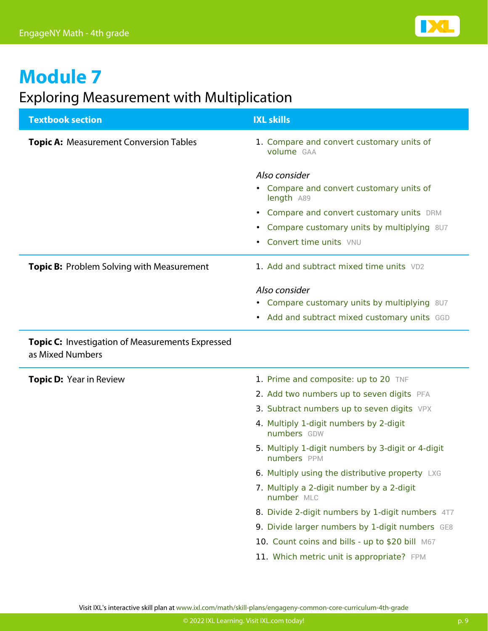

### Exploring Measurement with Multiplication

| <b>Textbook section</b>                                                     | <b>IXL skills</b>                                                                                                                                                                                                    |
|-----------------------------------------------------------------------------|----------------------------------------------------------------------------------------------------------------------------------------------------------------------------------------------------------------------|
| <b>Topic A: Measurement Conversion Tables</b>                               | 1. Compare and convert customary units of<br>volume GAA                                                                                                                                                              |
|                                                                             | Also consider<br>• Compare and convert customary units of<br>length A89<br>Compare and convert customary units DRM<br>$\bullet$<br>Compare customary units by multiplying 8U7<br>$\bullet$<br>Convert time units VNU |
| <b>Topic B:</b> Problem Solving with Measurement                            | 1. Add and subtract mixed time units VD2                                                                                                                                                                             |
|                                                                             | Also consider<br>• Compare customary units by multiplying 8U7<br>• Add and subtract mixed customary units GGD                                                                                                        |
| <b>Topic C:</b> Investigation of Measurements Expressed<br>as Mixed Numbers |                                                                                                                                                                                                                      |
| <b>Topic D: Year in Review</b>                                              | 1. Prime and composite: up to 20 TNF                                                                                                                                                                                 |
|                                                                             | 2. Add two numbers up to seven digits PFA                                                                                                                                                                            |
|                                                                             | 3. Subtract numbers up to seven digits VPX                                                                                                                                                                           |
|                                                                             | 4. Multiply 1-digit numbers by 2-digit<br>numbers GDW                                                                                                                                                                |
|                                                                             | 5. Multiply 1-digit numbers by 3-digit or 4-digit<br>numbers PPM                                                                                                                                                     |
|                                                                             | 6. Multiply using the distributive property LXG                                                                                                                                                                      |
|                                                                             | 7. Multiply a 2-digit number by a 2-digit<br>number MLC                                                                                                                                                              |
|                                                                             | 8. Divide 2-digit numbers by 1-digit numbers 4T7                                                                                                                                                                     |
|                                                                             | 9. Divide larger numbers by 1-digit numbers GE8                                                                                                                                                                      |
|                                                                             | 10. Count coins and bills - up to \$20 bill M67                                                                                                                                                                      |
|                                                                             | 11. Which metric unit is appropriate? FPM                                                                                                                                                                            |